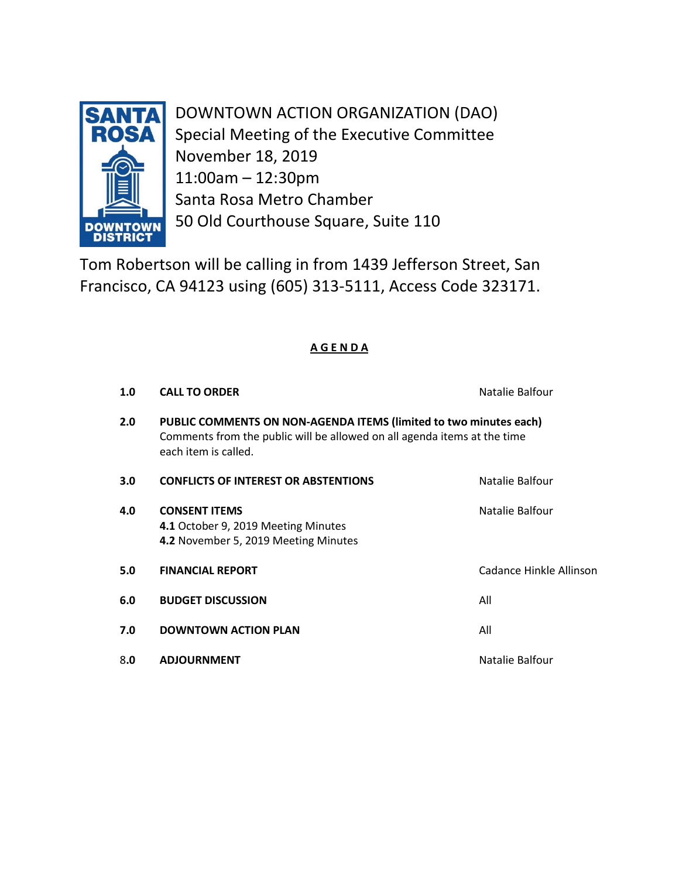

DOWNTOWN ACTION ORGANIZATION (DAO) Special Meeting of the Executive Committee November 18, 2019 11:00am – 12:30pm Santa Rosa Metro Chamber 50 Old Courthouse Square, Suite 110

Tom Robertson will be calling in from 1439 Jefferson Street, San Francisco, CA 94123 using (605) 313-5111, Access Code 323171.

# **A G E N D A**

| 1.0 | <b>CALL TO ORDER</b>                                                                                                                                                  | Natalie Balfour         |
|-----|-----------------------------------------------------------------------------------------------------------------------------------------------------------------------|-------------------------|
| 2.0 | PUBLIC COMMENTS ON NON-AGENDA ITEMS (limited to two minutes each)<br>Comments from the public will be allowed on all agenda items at the time<br>each item is called. |                         |
| 3.0 | <b>CONFLICTS OF INTEREST OR ABSTENTIONS</b>                                                                                                                           | Natalie Balfour         |
| 4.0 | <b>CONSENT ITEMS</b><br>4.1 October 9, 2019 Meeting Minutes<br>4.2 November 5, 2019 Meeting Minutes                                                                   | Natalie Balfour         |
| 5.0 | <b>FINANCIAL REPORT</b>                                                                                                                                               | Cadance Hinkle Allinson |
| 6.0 | <b>BUDGET DISCUSSION</b>                                                                                                                                              | All                     |
| 7.0 | <b>DOWNTOWN ACTION PLAN</b>                                                                                                                                           | All                     |
| 8.0 | <b>ADJOURNMENT</b>                                                                                                                                                    | Natalie Balfour         |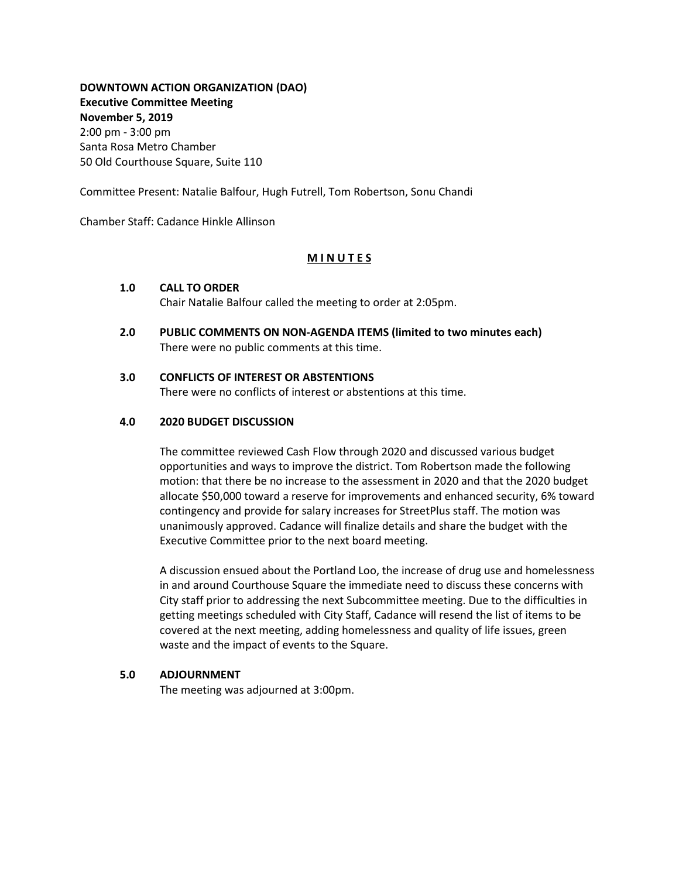**DOWNTOWN ACTION ORGANIZATION (DAO) Executive Committee Meeting November 5, 2019** 2:00 pm - 3:00 pm Santa Rosa Metro Chamber 50 Old Courthouse Square, Suite 110

Committee Present: Natalie Balfour, Hugh Futrell, Tom Robertson, Sonu Chandi

Chamber Staff: Cadance Hinkle Allinson

#### **M I N U T E S**

#### **1.0 CALL TO ORDER**

Chair Natalie Balfour called the meeting to order at 2:05pm.

**2.0 PUBLIC COMMENTS ON NON-AGENDA ITEMS (limited to two minutes each)** There were no public comments at this time.

#### **3.0 CONFLICTS OF INTEREST OR ABSTENTIONS**

There were no conflicts of interest or abstentions at this time.

#### **4.0 2020 BUDGET DISCUSSION**

The committee reviewed Cash Flow through 2020 and discussed various budget opportunities and ways to improve the district. Tom Robertson made the following motion: that there be no increase to the assessment in 2020 and that the 2020 budget allocate \$50,000 toward a reserve for improvements and enhanced security, 6% toward contingency and provide for salary increases for StreetPlus staff. The motion was unanimously approved. Cadance will finalize details and share the budget with the Executive Committee prior to the next board meeting.

A discussion ensued about the Portland Loo, the increase of drug use and homelessness in and around Courthouse Square the immediate need to discuss these concerns with City staff prior to addressing the next Subcommittee meeting. Due to the difficulties in getting meetings scheduled with City Staff, Cadance will resend the list of items to be covered at the next meeting, adding homelessness and quality of life issues, green waste and the impact of events to the Square.

#### **5.0 ADJOURNMENT**

The meeting was adjourned at 3:00pm.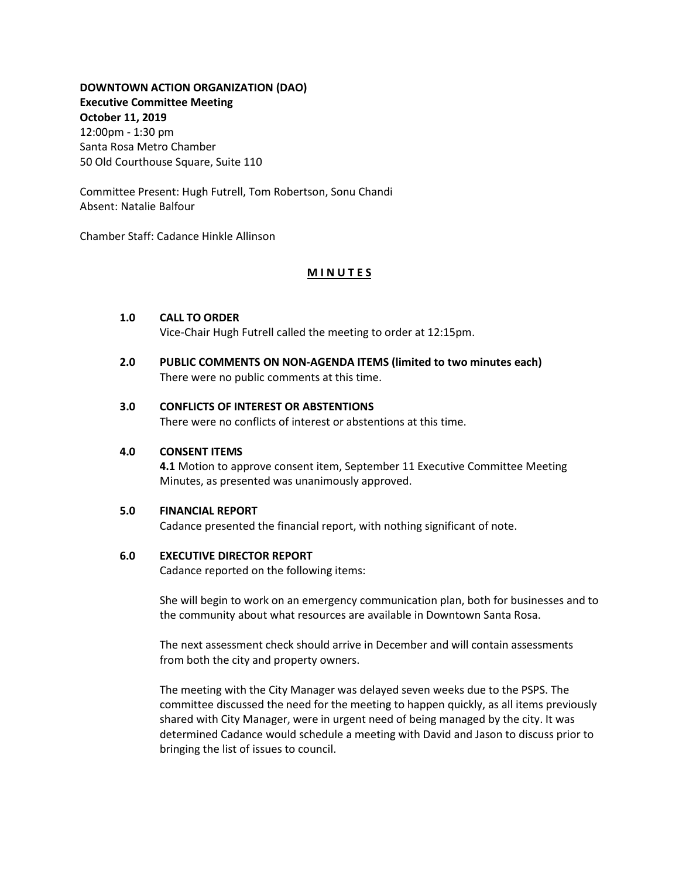## **DOWNTOWN ACTION ORGANIZATION (DAO) Executive Committee Meeting October 11, 2019** 12:00pm - 1:30 pm Santa Rosa Metro Chamber

Committee Present: Hugh Futrell, Tom Robertson, Sonu Chandi Absent: Natalie Balfour

Chamber Staff: Cadance Hinkle Allinson

50 Old Courthouse Square, Suite 110

## **M I N U T E S**

## **1.0 CALL TO ORDER**

Vice-Chair Hugh Futrell called the meeting to order at 12:15pm.

**2.0 PUBLIC COMMENTS ON NON-AGENDA ITEMS (limited to two minutes each)** There were no public comments at this time.

#### **3.0 CONFLICTS OF INTEREST OR ABSTENTIONS**

There were no conflicts of interest or abstentions at this time.

### **4.0 CONSENT ITEMS**

**4.1** Motion to approve consent item, September 11 Executive Committee Meeting Minutes, as presented was unanimously approved.

#### **5.0 FINANCIAL REPORT**

Cadance presented the financial report, with nothing significant of note.

#### **6.0 EXECUTIVE DIRECTOR REPORT**

Cadance reported on the following items:

She will begin to work on an emergency communication plan, both for businesses and to the community about what resources are available in Downtown Santa Rosa.

The next assessment check should arrive in December and will contain assessments from both the city and property owners.

The meeting with the City Manager was delayed seven weeks due to the PSPS. The committee discussed the need for the meeting to happen quickly, as all items previously shared with City Manager, were in urgent need of being managed by the city. It was determined Cadance would schedule a meeting with David and Jason to discuss prior to bringing the list of issues to council.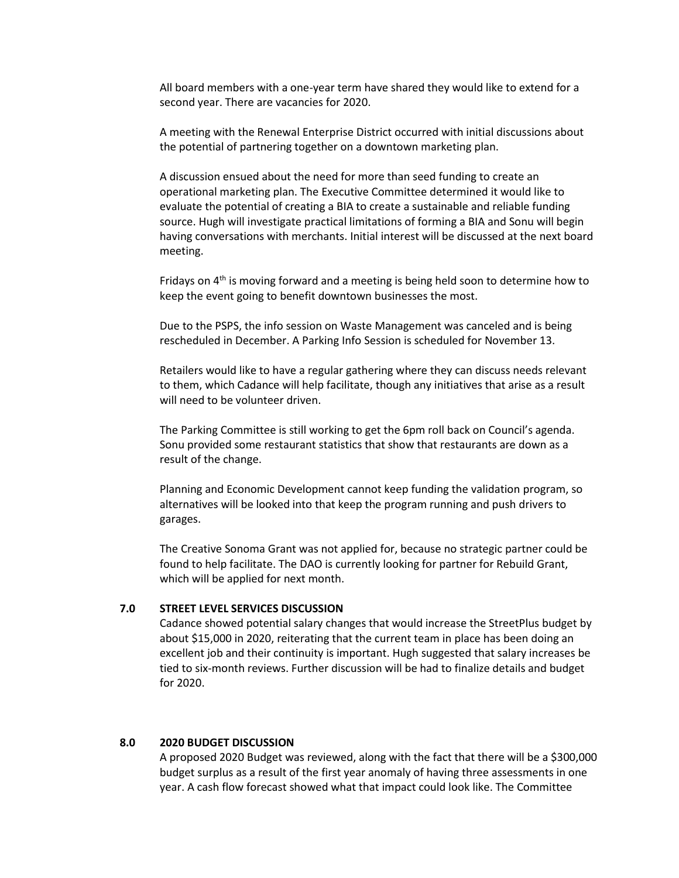All board members with a one-year term have shared they would like to extend for a second year. There are vacancies for 2020.

A meeting with the Renewal Enterprise District occurred with initial discussions about the potential of partnering together on a downtown marketing plan.

A discussion ensued about the need for more than seed funding to create an operational marketing plan. The Executive Committee determined it would like to evaluate the potential of creating a BIA to create a sustainable and reliable funding source. Hugh will investigate practical limitations of forming a BIA and Sonu will begin having conversations with merchants. Initial interest will be discussed at the next board meeting.

Fridays on  $4<sup>th</sup>$  is moving forward and a meeting is being held soon to determine how to keep the event going to benefit downtown businesses the most.

Due to the PSPS, the info session on Waste Management was canceled and is being rescheduled in December. A Parking Info Session is scheduled for November 13.

Retailers would like to have a regular gathering where they can discuss needs relevant to them, which Cadance will help facilitate, though any initiatives that arise as a result will need to be volunteer driven.

The Parking Committee is still working to get the 6pm roll back on Council's agenda. Sonu provided some restaurant statistics that show that restaurants are down as a result of the change.

Planning and Economic Development cannot keep funding the validation program, so alternatives will be looked into that keep the program running and push drivers to garages.

The Creative Sonoma Grant was not applied for, because no strategic partner could be found to help facilitate. The DAO is currently looking for partner for Rebuild Grant, which will be applied for next month.

#### **7.0 STREET LEVEL SERVICES DISCUSSION**

Cadance showed potential salary changes that would increase the StreetPlus budget by about \$15,000 in 2020, reiterating that the current team in place has been doing an excellent job and their continuity is important. Hugh suggested that salary increases be tied to six-month reviews. Further discussion will be had to finalize details and budget for 2020.

#### **8.0 2020 BUDGET DISCUSSION**

A proposed 2020 Budget was reviewed, along with the fact that there will be a \$300,000 budget surplus as a result of the first year anomaly of having three assessments in one year. A cash flow forecast showed what that impact could look like. The Committee